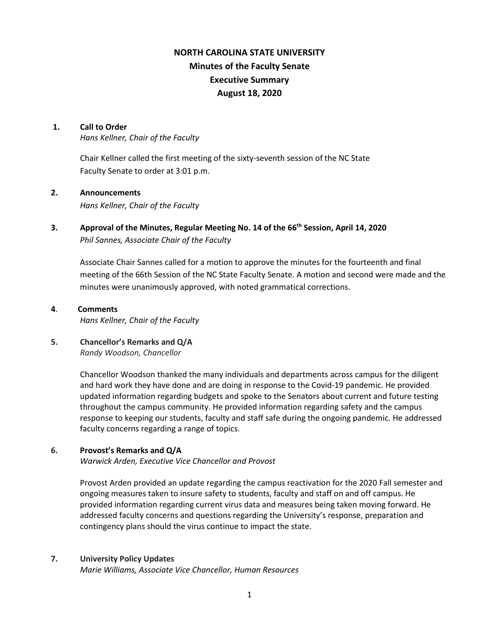# **NORTH CAROLINA STATE UNIVERSITY Minutes of the Faculty Senate Executive Summary August 18, 2020**

#### **1. Call to Order**

*Hans Kellner, Chair of the Faculty*

Chair Kellner called the first meeting of the sixty-seventh session of the NC State Faculty Senate to order at 3:01 p.m.

## **2. Announcements**

*Hans Kellner, Chair of the Faculty*

**3. Approval of the Minutes, Regular Meeting No. 14 of the 66th Session, April 14, 2020** *Phil Sannes, Associate Chair of the Faculty*

Associate Chair Sannes called for a motion to approve the minutes for the fourteenth and final meeting of the 66th Session of the NC State Faculty Senate. A motion and second were made and the minutes were unanimously approved, with noted grammatical corrections.

#### **4**. **Comments**

*Hans Kellner, Chair of the Faculty*

## **5. Chancellor's Remarks and Q/A** *Randy Woodson, Chancellor*

Chancellor Woodson thanked the many individuals and departments across campus for the diligent and hard work they have done and are doing in response to the Covid-19 pandemic. He provided updated information regarding budgets and spoke to the Senators about current and future testing throughout the campus community. He provided information regarding safety and the campus response to keeping our students, faculty and staff safe during the ongoing pandemic. He addressed faculty concerns regarding a range of topics.

## **6. Provost's Remarks and Q/A**

*Warwick Arden, Executive Vice Chancellor and Provost*

Provost Arden provided an update regarding the campus reactivation for the 2020 Fall semester and ongoing measures taken to insure safety to students, faculty and staff on and off campus. He provided information regarding current virus data and measures being taken moving forward. He addressed faculty concerns and questions regarding the University's response, preparation and contingency plans should the virus continue to impact the state.

## **7. University Policy Updates**

*Marie Williams, Associate Vice Chancellor, Human Resources*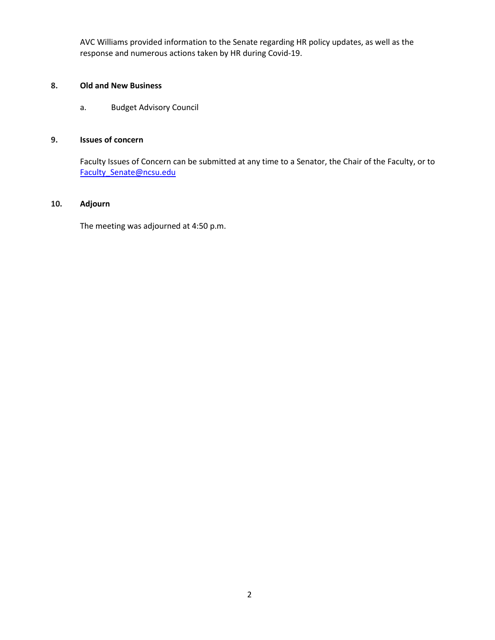AVC Williams provided information to the Senate regarding HR policy updates, as well as the response and numerous actions taken by HR during Covid-19.

## **8. Old and New Business**

a. Budget Advisory Council

# **9. Issues of concern**

Faculty Issues of Concern can be submitted at any time to a Senator, the Chair of the Faculty, or to [Faculty\\_Senate@ncsu.edu](mailto:Faculty_Senate@ncsu.edu)

#### **10. Adjourn**

The meeting was adjourned at 4:50 p.m.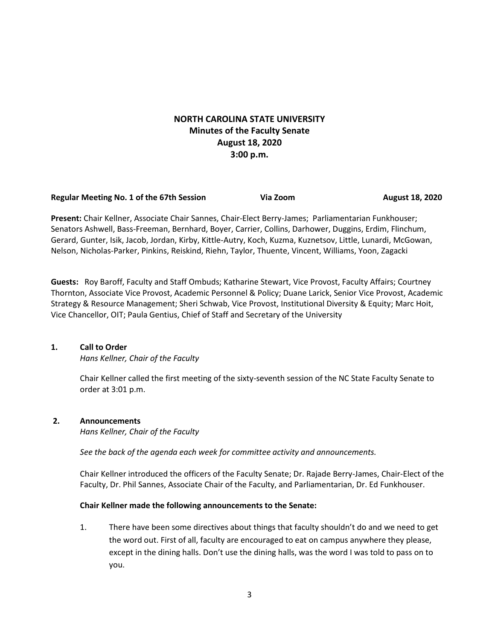# **NORTH CAROLINA STATE UNIVERSITY Minutes of the Faculty Senate August 18, 2020 3:00 p.m.**

#### **Regular Meeting No. 1 of the 67th Session Comey Strategy Via Zoom August 18, 2020**

**Present:** Chair Kellner, Associate Chair Sannes, Chair-Elect Berry-James; Parliamentarian Funkhouser; Senators Ashwell, Bass-Freeman, Bernhard, Boyer, Carrier, Collins, Darhower, Duggins, Erdim, Flinchum, Gerard, Gunter, Isik, Jacob, Jordan, Kirby, Kittle-Autry, Koch, Kuzma, Kuznetsov, Little, Lunardi, McGowan, Nelson, Nicholas-Parker, Pinkins, Reiskind, Riehn, Taylor, Thuente, Vincent, Williams, Yoon, Zagacki

**Guests:** Roy Baroff, Faculty and Staff Ombuds; Katharine Stewart, Vice Provost, Faculty Affairs; Courtney Thornton, Associate Vice Provost, Academic Personnel & Policy; Duane Larick, Senior Vice Provost, Academic Strategy & Resource Management; Sheri Schwab, Vice Provost, Institutional Diversity & Equity; Marc Hoit, Vice Chancellor, OIT; Paula Gentius, Chief of Staff and Secretary of the University

#### **1. Call to Order**

*Hans Kellner, Chair of the Faculty*

Chair Kellner called the first meeting of the sixty-seventh session of the NC State Faculty Senate to order at 3:01 p.m.

## **2. Announcements**

*Hans Kellner, Chair of the Faculty*

*See the back of the agenda each week for committee activity and announcements.*

Chair Kellner introduced the officers of the Faculty Senate; Dr. Rajade Berry-James, Chair-Elect of the Faculty, Dr. Phil Sannes, Associate Chair of the Faculty, and Parliamentarian, Dr. Ed Funkhouser.

#### **Chair Kellner made the following announcements to the Senate:**

1. There have been some directives about things that faculty shouldn't do and we need to get the word out. First of all, faculty are encouraged to eat on campus anywhere they please, except in the dining halls. Don't use the dining halls, was the word I was told to pass on to you.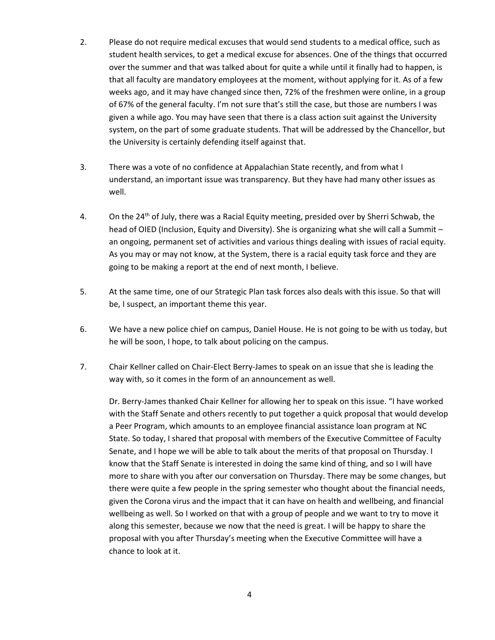- 2. Please do not require medical excuses that would send students to a medical office, such as student health services, to get a medical excuse for absences. One of the things that occurred over the summer and that was talked about for quite a while until it finally had to happen, is that all faculty are mandatory employees at the moment, without applying for it. As of a few weeks ago, and it may have changed since then, 72% of the freshmen were online, in a group of 67% of the general faculty. I'm not sure that's still the case, but those are numbers I was given a while ago. You may have seen that there is a class action suit against the University system, on the part of some graduate students. That will be addressed by the Chancellor, but the University is certainly defending itself against that.
- 3. There was a vote of no confidence at Appalachian State recently, and from what I understand, an important issue was transparency. But they have had many other issues as well.
- 4. On the 24<sup>th</sup> of July, there was a Racial Equity meeting, presided over by Sherri Schwab, the head of OIED (Inclusion, Equity and Diversity). She is organizing what she will call a Summit – an ongoing, permanent set of activities and various things dealing with issues of racial equity. As you may or may not know, at the System, there is a racial equity task force and they are going to be making a report at the end of next month, I believe.
- 5. At the same time, one of our Strategic Plan task forces also deals with this issue. So that will be, I suspect, an important theme this year.
- 6. We have a new police chief on campus, Daniel House. He is not going to be with us today, but he will be soon, I hope, to talk about policing on the campus.
- 7. Chair Kellner called on Chair-Elect Berry-James to speak on an issue that she is leading the way with, so it comes in the form of an announcement as well.

Dr. Berry-James thanked Chair Kellner for allowing her to speak on this issue. "I have worked with the Staff Senate and others recently to put together a quick proposal that would develop a Peer Program, which amounts to an employee financial assistance loan program at NC State. So today, I shared that proposal with members of the Executive Committee of Faculty Senate, and I hope we will be able to talk about the merits of that proposal on Thursday. I know that the Staff Senate is interested in doing the same kind of thing, and so I will have more to share with you after our conversation on Thursday. There may be some changes, but there were quite a few people in the spring semester who thought about the financial needs, given the Corona virus and the impact that it can have on health and wellbeing, and financial wellbeing as well. So I worked on that with a group of people and we want to try to move it along this semester, because we now that the need is great. I will be happy to share the proposal with you after Thursday's meeting when the Executive Committee will have a chance to look at it.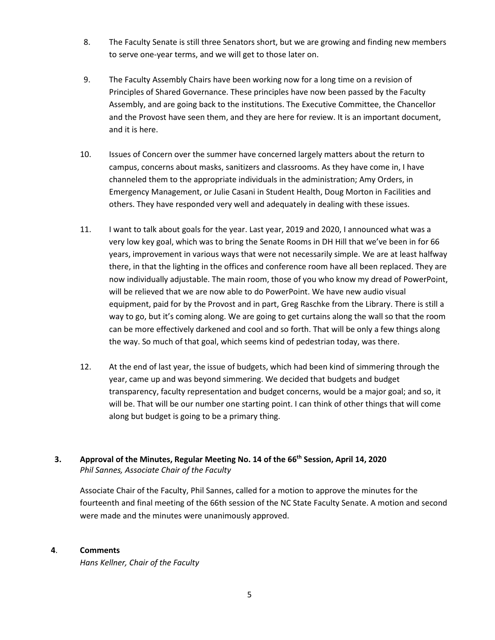- 8. The Faculty Senate is still three Senators short, but we are growing and finding new members to serve one-year terms, and we will get to those later on.
- 9. The Faculty Assembly Chairs have been working now for a long time on a revision of Principles of Shared Governance. These principles have now been passed by the Faculty Assembly, and are going back to the institutions. The Executive Committee, the Chancellor and the Provost have seen them, and they are here for review. It is an important document, and it is here.
- 10. Issues of Concern over the summer have concerned largely matters about the return to campus, concerns about masks, sanitizers and classrooms. As they have come in, I have channeled them to the appropriate individuals in the administration; Amy Orders, in Emergency Management, or Julie Casani in Student Health, Doug Morton in Facilities and others. They have responded very well and adequately in dealing with these issues.
- 11. I want to talk about goals for the year. Last year, 2019 and 2020, I announced what was a very low key goal, which was to bring the Senate Rooms in DH Hill that we've been in for 66 years, improvement in various ways that were not necessarily simple. We are at least halfway there, in that the lighting in the offices and conference room have all been replaced. They are now individually adjustable. The main room, those of you who know my dread of PowerPoint, will be relieved that we are now able to do PowerPoint. We have new audio visual equipment, paid for by the Provost and in part, Greg Raschke from the Library. There is still a way to go, but it's coming along. We are going to get curtains along the wall so that the room can be more effectively darkened and cool and so forth. That will be only a few things along the way. So much of that goal, which seems kind of pedestrian today, was there.
- 12. At the end of last year, the issue of budgets, which had been kind of simmering through the year, came up and was beyond simmering. We decided that budgets and budget transparency, faculty representation and budget concerns, would be a major goal; and so, it will be. That will be our number one starting point. I can think of other things that will come along but budget is going to be a primary thing.
- **3. Approval of the Minutes, Regular Meeting No. 14 of the 66th Session, April 14, 2020** *Phil Sannes, Associate Chair of the Faculty*

Associate Chair of the Faculty, Phil Sannes, called for a motion to approve the minutes for the fourteenth and final meeting of the 66th session of the NC State Faculty Senate. A motion and second were made and the minutes were unanimously approved.

# **4**. **Comments**

*Hans Kellner, Chair of the Faculty*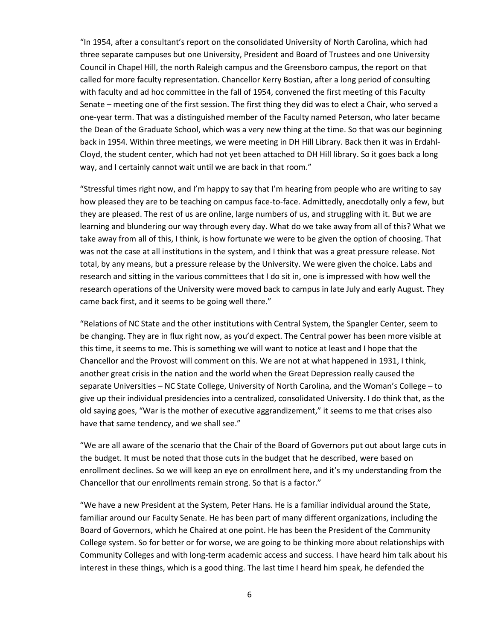"In 1954, after a consultant's report on the consolidated University of North Carolina, which had three separate campuses but one University, President and Board of Trustees and one University Council in Chapel Hill, the north Raleigh campus and the Greensboro campus, the report on that called for more faculty representation. Chancellor Kerry Bostian, after a long period of consulting with faculty and ad hoc committee in the fall of 1954, convened the first meeting of this Faculty Senate – meeting one of the first session. The first thing they did was to elect a Chair, who served a one-year term. That was a distinguished member of the Faculty named Peterson, who later became the Dean of the Graduate School, which was a very new thing at the time. So that was our beginning back in 1954. Within three meetings, we were meeting in DH Hill Library. Back then it was in Erdahl-Cloyd, the student center, which had not yet been attached to DH Hill library. So it goes back a long way, and I certainly cannot wait until we are back in that room."

"Stressful times right now, and I'm happy to say that I'm hearing from people who are writing to say how pleased they are to be teaching on campus face-to-face. Admittedly, anecdotally only a few, but they are pleased. The rest of us are online, large numbers of us, and struggling with it. But we are learning and blundering our way through every day. What do we take away from all of this? What we take away from all of this, I think, is how fortunate we were to be given the option of choosing. That was not the case at all institutions in the system, and I think that was a great pressure release. Not total, by any means, but a pressure release by the University. We were given the choice. Labs and research and sitting in the various committees that I do sit in, one is impressed with how well the research operations of the University were moved back to campus in late July and early August. They came back first, and it seems to be going well there."

"Relations of NC State and the other institutions with Central System, the Spangler Center, seem to be changing. They are in flux right now, as you'd expect. The Central power has been more visible at this time, it seems to me. This is something we will want to notice at least and I hope that the Chancellor and the Provost will comment on this. We are not at what happened in 1931, I think, another great crisis in the nation and the world when the Great Depression really caused the separate Universities – NC State College, University of North Carolina, and the Woman's College – to give up their individual presidencies into a centralized, consolidated University. I do think that, as the old saying goes, "War is the mother of executive aggrandizement," it seems to me that crises also have that same tendency, and we shall see."

"We are all aware of the scenario that the Chair of the Board of Governors put out about large cuts in the budget. It must be noted that those cuts in the budget that he described, were based on enrollment declines. So we will keep an eye on enrollment here, and it's my understanding from the Chancellor that our enrollments remain strong. So that is a factor."

"We have a new President at the System, Peter Hans. He is a familiar individual around the State, familiar around our Faculty Senate. He has been part of many different organizations, including the Board of Governors, which he Chaired at one point. He has been the President of the Community College system. So for better or for worse, we are going to be thinking more about relationships with Community Colleges and with long-term academic access and success. I have heard him talk about his interest in these things, which is a good thing. The last time I heard him speak, he defended the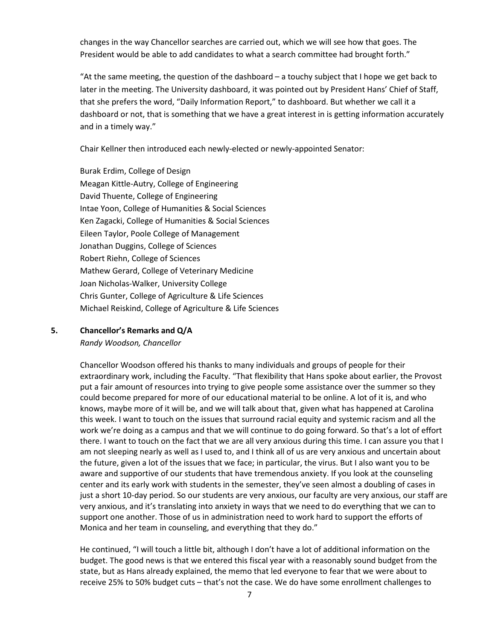changes in the way Chancellor searches are carried out, which we will see how that goes. The President would be able to add candidates to what a search committee had brought forth."

"At the same meeting, the question of the dashboard – a touchy subject that I hope we get back to later in the meeting. The University dashboard, it was pointed out by President Hans' Chief of Staff, that she prefers the word, "Daily Information Report," to dashboard. But whether we call it a dashboard or not, that is something that we have a great interest in is getting information accurately and in a timely way."

Chair Kellner then introduced each newly-elected or newly-appointed Senator:

Burak Erdim, College of Design Meagan Kittle-Autry, College of Engineering David Thuente, College of Engineering Intae Yoon, College of Humanities & Social Sciences Ken Zagacki, College of Humanities & Social Sciences Eileen Taylor, Poole College of Management Jonathan Duggins, College of Sciences Robert Riehn, College of Sciences Mathew Gerard, College of Veterinary Medicine Joan Nicholas-Walker, University College Chris Gunter, College of Agriculture & Life Sciences Michael Reiskind, College of Agriculture & Life Sciences

**5. Chancellor's Remarks and Q/A** *Randy Woodson, Chancellor*

> Chancellor Woodson offered his thanks to many individuals and groups of people for their extraordinary work, including the Faculty. "That flexibility that Hans spoke about earlier, the Provost put a fair amount of resources into trying to give people some assistance over the summer so they could become prepared for more of our educational material to be online. A lot of it is, and who knows, maybe more of it will be, and we will talk about that, given what has happened at Carolina this week. I want to touch on the issues that surround racial equity and systemic racism and all the work we're doing as a campus and that we will continue to do going forward. So that's a lot of effort there. I want to touch on the fact that we are all very anxious during this time. I can assure you that I am not sleeping nearly as well as I used to, and I think all of us are very anxious and uncertain about the future, given a lot of the issues that we face; in particular, the virus. But I also want you to be aware and supportive of our students that have tremendous anxiety. If you look at the counseling center and its early work with students in the semester, they've seen almost a doubling of cases in just a short 10-day period. So our students are very anxious, our faculty are very anxious, our staff are very anxious, and it's translating into anxiety in ways that we need to do everything that we can to support one another. Those of us in administration need to work hard to support the efforts of Monica and her team in counseling, and everything that they do."

He continued, "I will touch a little bit, although I don't have a lot of additional information on the budget. The good news is that we entered this fiscal year with a reasonably sound budget from the state, but as Hans already explained, the memo that led everyone to fear that we were about to receive 25% to 50% budget cuts – that's not the case. We do have some enrollment challenges to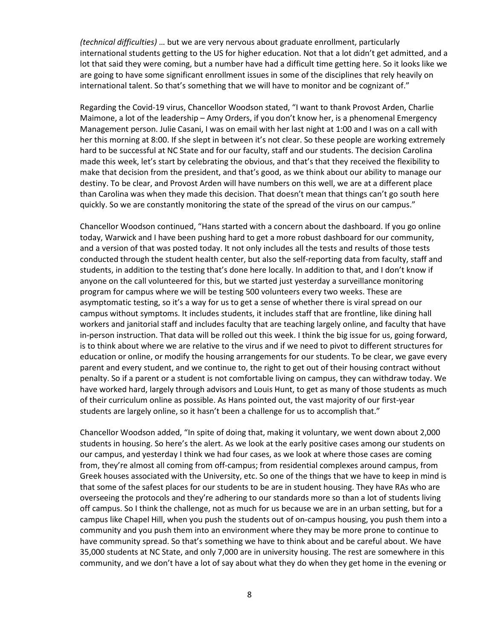*(technical difficulties)* … but we are very nervous about graduate enrollment, particularly international students getting to the US for higher education. Not that a lot didn't get admitted, and a lot that said they were coming, but a number have had a difficult time getting here. So it looks like we are going to have some significant enrollment issues in some of the disciplines that rely heavily on international talent. So that's something that we will have to monitor and be cognizant of."

Regarding the Covid-19 virus, Chancellor Woodson stated, "I want to thank Provost Arden, Charlie Maimone, a lot of the leadership – Amy Orders, if you don't know her, is a phenomenal Emergency Management person. Julie Casani, I was on email with her last night at 1:00 and I was on a call with her this morning at 8:00. If she slept in between it's not clear. So these people are working extremely hard to be successful at NC State and for our faculty, staff and our students. The decision Carolina made this week, let's start by celebrating the obvious, and that's that they received the flexibility to make that decision from the president, and that's good, as we think about our ability to manage our destiny. To be clear, and Provost Arden will have numbers on this well, we are at a different place than Carolina was when they made this decision. That doesn't mean that things can't go south here quickly. So we are constantly monitoring the state of the spread of the virus on our campus."

Chancellor Woodson continued, "Hans started with a concern about the dashboard. If you go online today, Warwick and I have been pushing hard to get a more robust dashboard for our community, and a version of that was posted today. It not only includes all the tests and results of those tests conducted through the student health center, but also the self-reporting data from faculty, staff and students, in addition to the testing that's done here locally. In addition to that, and I don't know if anyone on the call volunteered for this, but we started just yesterday a surveillance monitoring program for campus where we will be testing 500 volunteers every two weeks. These are asymptomatic testing, so it's a way for us to get a sense of whether there is viral spread on our campus without symptoms. It includes students, it includes staff that are frontline, like dining hall workers and janitorial staff and includes faculty that are teaching largely online, and faculty that have in-person instruction. That data will be rolled out this week. I think the big issue for us, going forward, is to think about where we are relative to the virus and if we need to pivot to different structures for education or online, or modify the housing arrangements for our students. To be clear, we gave every parent and every student, and we continue to, the right to get out of their housing contract without penalty. So if a parent or a student is not comfortable living on campus, they can withdraw today. We have worked hard, largely through advisors and Louis Hunt, to get as many of those students as much of their curriculum online as possible. As Hans pointed out, the vast majority of our first-year students are largely online, so it hasn't been a challenge for us to accomplish that."

Chancellor Woodson added, "In spite of doing that, making it voluntary, we went down about 2,000 students in housing. So here's the alert. As we look at the early positive cases among our students on our campus, and yesterday I think we had four cases, as we look at where those cases are coming from, they're almost all coming from off-campus; from residential complexes around campus, from Greek houses associated with the University, etc. So one of the things that we have to keep in mind is that some of the safest places for our students to be are in student housing. They have RAs who are overseeing the protocols and they're adhering to our standards more so than a lot of students living off campus. So I think the challenge, not as much for us because we are in an urban setting, but for a campus like Chapel Hill, when you push the students out of on-campus housing, you push them into a community and you push them into an environment where they may be more prone to continue to have community spread. So that's something we have to think about and be careful about. We have 35,000 students at NC State, and only 7,000 are in university housing. The rest are somewhere in this community, and we don't have a lot of say about what they do when they get home in the evening or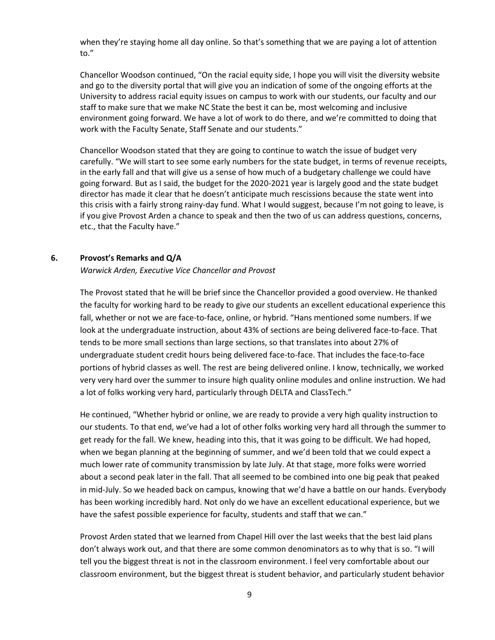when they're staying home all day online. So that's something that we are paying a lot of attention to."

Chancellor Woodson continued, "On the racial equity side, I hope you will visit the diversity website and go to the diversity portal that will give you an indication of some of the ongoing efforts at the University to address racial equity issues on campus to work with our students, our faculty and our staff to make sure that we make NC State the best it can be, most welcoming and inclusive environment going forward. We have a lot of work to do there, and we're committed to doing that work with the Faculty Senate, Staff Senate and our students."

Chancellor Woodson stated that they are going to continue to watch the issue of budget very carefully. "We will start to see some early numbers for the state budget, in terms of revenue receipts, in the early fall and that will give us a sense of how much of a budgetary challenge we could have going forward. But as I said, the budget for the 2020-2021 year is largely good and the state budget director has made it clear that he doesn't anticipate much rescissions because the state went into this crisis with a fairly strong rainy-day fund. What I would suggest, because I'm not going to leave, is if you give Provost Arden a chance to speak and then the two of us can address questions, concerns, etc., that the Faculty have."

#### **6. Provost's Remarks and Q/A**

*Warwick Arden, Executive Vice Chancellor and Provost* 

The Provost stated that he will be brief since the Chancellor provided a good overview. He thanked the faculty for working hard to be ready to give our students an excellent educational experience this fall, whether or not we are face-to-face, online, or hybrid. "Hans mentioned some numbers. If we look at the undergraduate instruction, about 43% of sections are being delivered face-to-face. That tends to be more small sections than large sections, so that translates into about 27% of undergraduate student credit hours being delivered face-to-face. That includes the face-to-face portions of hybrid classes as well. The rest are being delivered online. I know, technically, we worked very very hard over the summer to insure high quality online modules and online instruction. We had a lot of folks working very hard, particularly through DELTA and ClassTech."

He continued, "Whether hybrid or online, we are ready to provide a very high quality instruction to our students. To that end, we've had a lot of other folks working very hard all through the summer to get ready for the fall. We knew, heading into this, that it was going to be difficult. We had hoped, when we began planning at the beginning of summer, and we'd been told that we could expect a much lower rate of community transmission by late July. At that stage, more folks were worried about a second peak later in the fall. That all seemed to be combined into one big peak that peaked in mid-July. So we headed back on campus, knowing that we'd have a battle on our hands. Everybody has been working incredibly hard. Not only do we have an excellent educational experience, but we have the safest possible experience for faculty, students and staff that we can."

Provost Arden stated that we learned from Chapel Hill over the last weeks that the best laid plans don't always work out, and that there are some common denominators as to why that is so. "I will tell you the biggest threat is not in the classroom environment. I feel very comfortable about our classroom environment, but the biggest threat is student behavior, and particularly student behavior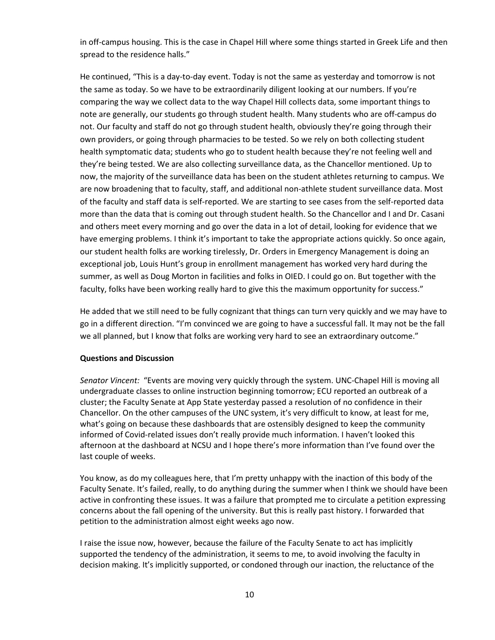in off-campus housing. This is the case in Chapel Hill where some things started in Greek Life and then spread to the residence halls."

He continued, "This is a day-to-day event. Today is not the same as yesterday and tomorrow is not the same as today. So we have to be extraordinarily diligent looking at our numbers. If you're comparing the way we collect data to the way Chapel Hill collects data, some important things to note are generally, our students go through student health. Many students who are off-campus do not. Our faculty and staff do not go through student health, obviously they're going through their own providers, or going through pharmacies to be tested. So we rely on both collecting student health symptomatic data; students who go to student health because they're not feeling well and they're being tested. We are also collecting surveillance data, as the Chancellor mentioned. Up to now, the majority of the surveillance data has been on the student athletes returning to campus. We are now broadening that to faculty, staff, and additional non-athlete student surveillance data. Most of the faculty and staff data is self-reported. We are starting to see cases from the self-reported data more than the data that is coming out through student health. So the Chancellor and I and Dr. Casani and others meet every morning and go over the data in a lot of detail, looking for evidence that we have emerging problems. I think it's important to take the appropriate actions quickly. So once again, our student health folks are working tirelessly, Dr. Orders in Emergency Management is doing an exceptional job, Louis Hunt's group in enrollment management has worked very hard during the summer, as well as Doug Morton in facilities and folks in OIED. I could go on. But together with the faculty, folks have been working really hard to give this the maximum opportunity for success."

He added that we still need to be fully cognizant that things can turn very quickly and we may have to go in a different direction. "I'm convinced we are going to have a successful fall. It may not be the fall we all planned, but I know that folks are working very hard to see an extraordinary outcome."

## **Questions and Discussion**

*Senator Vincent:* "Events are moving very quickly through the system. UNC-Chapel Hill is moving all undergraduate classes to online instruction beginning tomorrow; ECU reported an outbreak of a cluster; the Faculty Senate at App State yesterday passed a resolution of no confidence in their Chancellor. On the other campuses of the UNC system, it's very difficult to know, at least for me, what's going on because these dashboards that are ostensibly designed to keep the community informed of Covid-related issues don't really provide much information. I haven't looked this afternoon at the dashboard at NCSU and I hope there's more information than I've found over the last couple of weeks.

You know, as do my colleagues here, that I'm pretty unhappy with the inaction of this body of the Faculty Senate. It's failed, really, to do anything during the summer when I think we should have been active in confronting these issues. It was a failure that prompted me to circulate a petition expressing concerns about the fall opening of the university. But this is really past history. I forwarded that petition to the administration almost eight weeks ago now.

I raise the issue now, however, because the failure of the Faculty Senate to act has implicitly supported the tendency of the administration, it seems to me, to avoid involving the faculty in decision making. It's implicitly supported, or condoned through our inaction, the reluctance of the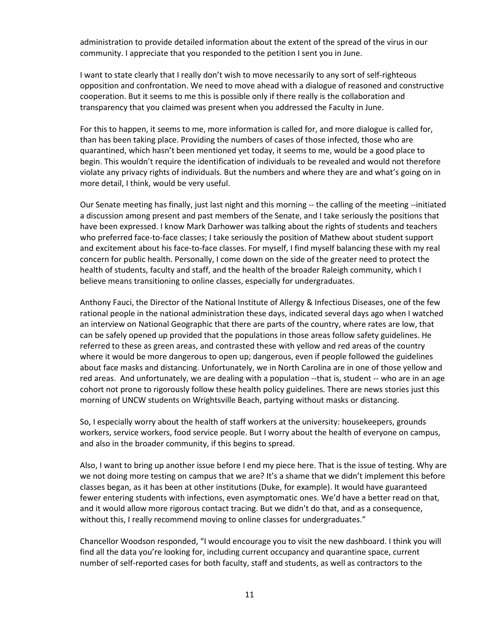administration to provide detailed information about the extent of the spread of the virus in our community. I appreciate that you responded to the petition I sent you in June.

I want to state clearly that I really don't wish to move necessarily to any sort of self-righteous opposition and confrontation. We need to move ahead with a dialogue of reasoned and constructive cooperation. But it seems to me this is possible only if there really is the collaboration and transparency that you claimed was present when you addressed the Faculty in June.

For this to happen, it seems to me, more information is called for, and more dialogue is called for, than has been taking place. Providing the numbers of cases of those infected, those who are quarantined, which hasn't been mentioned yet today, it seems to me, would be a good place to begin. This wouldn't require the identification of individuals to be revealed and would not therefore violate any privacy rights of individuals. But the numbers and where they are and what's going on in more detail, I think, would be very useful.

Our Senate meeting has finally, just last night and this morning -- the calling of the meeting --initiated a discussion among present and past members of the Senate, and I take seriously the positions that have been expressed. I know Mark Darhower was talking about the rights of students and teachers who preferred face-to-face classes; I take seriously the position of Mathew about student support and excitement about his face-to-face classes. For myself, I find myself balancing these with my real concern for public health. Personally, I come down on the side of the greater need to protect the health of students, faculty and staff, and the health of the broader Raleigh community, which I believe means transitioning to online classes, especially for undergraduates.

Anthony Fauci, the Director of the National Institute of Allergy & Infectious Diseases, one of the few rational people in the national administration these days, indicated several days ago when I watched an interview on National Geographic that there are parts of the country, where rates are low, that can be safely opened up provided that the populations in those areas follow safety guidelines. He referred to these as green areas, and contrasted these with yellow and red areas of the country where it would be more dangerous to open up; dangerous, even if people followed the guidelines about face masks and distancing. Unfortunately, we in North Carolina are in one of those yellow and red areas. And unfortunately, we are dealing with a population --that is, student -- who are in an age cohort not prone to rigorously follow these health policy guidelines. There are news stories just this morning of UNCW students on Wrightsville Beach, partying without masks or distancing.

So, I especially worry about the health of staff workers at the university: housekeepers, grounds workers, service workers, food service people. But I worry about the health of everyone on campus, and also in the broader community, if this begins to spread.

Also, I want to bring up another issue before I end my piece here. That is the issue of testing. Why are we not doing more testing on campus that we are? It's a shame that we didn't implement this before classes began, as it has been at other institutions (Duke, for example). It would have guaranteed fewer entering students with infections, even asymptomatic ones. We'd have a better read on that, and it would allow more rigorous contact tracing. But we didn't do that, and as a consequence, without this, I really recommend moving to online classes for undergraduates."

Chancellor Woodson responded, "I would encourage you to visit the new dashboard. I think you will find all the data you're looking for, including current occupancy and quarantine space, current number of self-reported cases for both faculty, staff and students, as well as contractors to the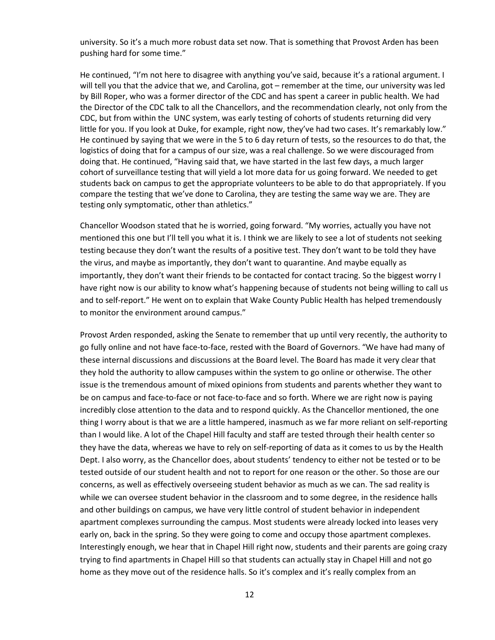university. So it's a much more robust data set now. That is something that Provost Arden has been pushing hard for some time."

He continued, "I'm not here to disagree with anything you've said, because it's a rational argument. I will tell you that the advice that we, and Carolina, got – remember at the time, our university was led by Bill Roper, who was a former director of the CDC and has spent a career in public health. We had the Director of the CDC talk to all the Chancellors, and the recommendation clearly, not only from the CDC, but from within the UNC system, was early testing of cohorts of students returning did very little for you. If you look at Duke, for example, right now, they've had two cases. It's remarkably low." He continued by saying that we were in the 5 to 6 day return of tests, so the resources to do that, the logistics of doing that for a campus of our size, was a real challenge. So we were discouraged from doing that. He continued, "Having said that, we have started in the last few days, a much larger cohort of surveillance testing that will yield a lot more data for us going forward. We needed to get students back on campus to get the appropriate volunteers to be able to do that appropriately. If you compare the testing that we've done to Carolina, they are testing the same way we are. They are testing only symptomatic, other than athletics."

Chancellor Woodson stated that he is worried, going forward. "My worries, actually you have not mentioned this one but I'll tell you what it is. I think we are likely to see a lot of students not seeking testing because they don't want the results of a positive test. They don't want to be told they have the virus, and maybe as importantly, they don't want to quarantine. And maybe equally as importantly, they don't want their friends to be contacted for contact tracing. So the biggest worry I have right now is our ability to know what's happening because of students not being willing to call us and to self-report." He went on to explain that Wake County Public Health has helped tremendously to monitor the environment around campus."

Provost Arden responded, asking the Senate to remember that up until very recently, the authority to go fully online and not have face-to-face, rested with the Board of Governors. "We have had many of these internal discussions and discussions at the Board level. The Board has made it very clear that they hold the authority to allow campuses within the system to go online or otherwise. The other issue is the tremendous amount of mixed opinions from students and parents whether they want to be on campus and face-to-face or not face-to-face and so forth. Where we are right now is paying incredibly close attention to the data and to respond quickly. As the Chancellor mentioned, the one thing I worry about is that we are a little hampered, inasmuch as we far more reliant on self-reporting than I would like. A lot of the Chapel Hill faculty and staff are tested through their health center so they have the data, whereas we have to rely on self-reporting of data as it comes to us by the Health Dept. I also worry, as the Chancellor does, about students' tendency to either not be tested or to be tested outside of our student health and not to report for one reason or the other. So those are our concerns, as well as effectively overseeing student behavior as much as we can. The sad reality is while we can oversee student behavior in the classroom and to some degree, in the residence halls and other buildings on campus, we have very little control of student behavior in independent apartment complexes surrounding the campus. Most students were already locked into leases very early on, back in the spring. So they were going to come and occupy those apartment complexes. Interestingly enough, we hear that in Chapel Hill right now, students and their parents are going crazy trying to find apartments in Chapel Hill so that students can actually stay in Chapel Hill and not go home as they move out of the residence halls. So it's complex and it's really complex from an

12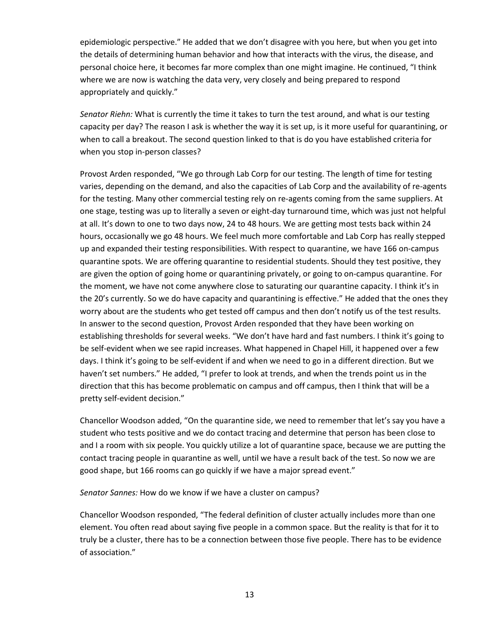epidemiologic perspective." He added that we don't disagree with you here, but when you get into the details of determining human behavior and how that interacts with the virus, the disease, and personal choice here, it becomes far more complex than one might imagine. He continued, "I think where we are now is watching the data very, very closely and being prepared to respond appropriately and quickly."

*Senator Riehn:* What is currently the time it takes to turn the test around, and what is our testing capacity per day? The reason I ask is whether the way it is set up, is it more useful for quarantining, or when to call a breakout. The second question linked to that is do you have established criteria for when you stop in-person classes?

Provost Arden responded, "We go through Lab Corp for our testing. The length of time for testing varies, depending on the demand, and also the capacities of Lab Corp and the availability of re-agents for the testing. Many other commercial testing rely on re-agents coming from the same suppliers. At one stage, testing was up to literally a seven or eight-day turnaround time, which was just not helpful at all. It's down to one to two days now, 24 to 48 hours. We are getting most tests back within 24 hours, occasionally we go 48 hours. We feel much more comfortable and Lab Corp has really stepped up and expanded their testing responsibilities. With respect to quarantine, we have 166 on-campus quarantine spots. We are offering quarantine to residential students. Should they test positive, they are given the option of going home or quarantining privately, or going to on-campus quarantine. For the moment, we have not come anywhere close to saturating our quarantine capacity. I think it's in the 20's currently. So we do have capacity and quarantining is effective." He added that the ones they worry about are the students who get tested off campus and then don't notify us of the test results. In answer to the second question, Provost Arden responded that they have been working on establishing thresholds for several weeks. "We don't have hard and fast numbers. I think it's going to be self-evident when we see rapid increases. What happened in Chapel Hill, it happened over a few days. I think it's going to be self-evident if and when we need to go in a different direction. But we haven't set numbers." He added, "I prefer to look at trends, and when the trends point us in the direction that this has become problematic on campus and off campus, then I think that will be a pretty self-evident decision."

Chancellor Woodson added, "On the quarantine side, we need to remember that let's say you have a student who tests positive and we do contact tracing and determine that person has been close to and I a room with six people. You quickly utilize a lot of quarantine space, because we are putting the contact tracing people in quarantine as well, until we have a result back of the test. So now we are good shape, but 166 rooms can go quickly if we have a major spread event."

*Senator Sannes:* How do we know if we have a cluster on campus?

Chancellor Woodson responded, "The federal definition of cluster actually includes more than one element. You often read about saying five people in a common space. But the reality is that for it to truly be a cluster, there has to be a connection between those five people. There has to be evidence of association."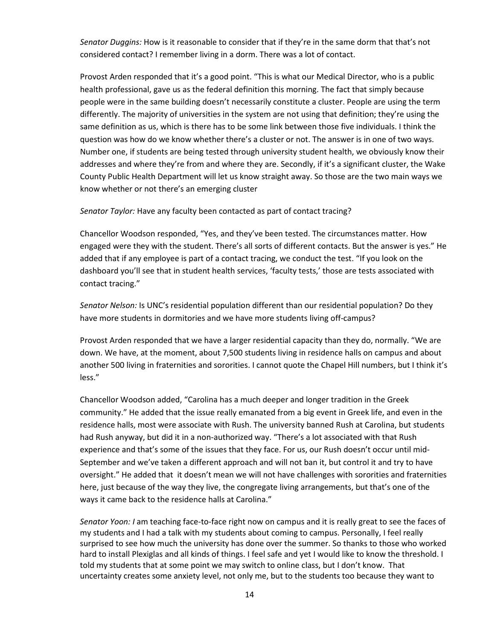*Senator Duggins:* How is it reasonable to consider that if they're in the same dorm that that's not considered contact? I remember living in a dorm. There was a lot of contact.

Provost Arden responded that it's a good point. "This is what our Medical Director, who is a public health professional, gave us as the federal definition this morning. The fact that simply because people were in the same building doesn't necessarily constitute a cluster. People are using the term differently. The majority of universities in the system are not using that definition; they're using the same definition as us, which is there has to be some link between those five individuals. I think the question was how do we know whether there's a cluster or not. The answer is in one of two ways. Number one, if students are being tested through university student health, we obviously know their addresses and where they're from and where they are. Secondly, if it's a significant cluster, the Wake County Public Health Department will let us know straight away. So those are the two main ways we know whether or not there's an emerging cluster

*Senator Taylor:* Have any faculty been contacted as part of contact tracing?

Chancellor Woodson responded, "Yes, and they've been tested. The circumstances matter. How engaged were they with the student. There's all sorts of different contacts. But the answer is yes." He added that if any employee is part of a contact tracing, we conduct the test. "If you look on the dashboard you'll see that in student health services, 'faculty tests,' those are tests associated with contact tracing."

*Senator Nelson:* Is UNC's residential population different than our residential population? Do they have more students in dormitories and we have more students living off-campus?

Provost Arden responded that we have a larger residential capacity than they do, normally. "We are down. We have, at the moment, about 7,500 students living in residence halls on campus and about another 500 living in fraternities and sororities. I cannot quote the Chapel Hill numbers, but I think it's less."

Chancellor Woodson added, "Carolina has a much deeper and longer tradition in the Greek community." He added that the issue really emanated from a big event in Greek life, and even in the residence halls, most were associate with Rush. The university banned Rush at Carolina, but students had Rush anyway, but did it in a non-authorized way. "There's a lot associated with that Rush experience and that's some of the issues that they face. For us, our Rush doesn't occur until mid-September and we've taken a different approach and will not ban it, but control it and try to have oversight." He added that it doesn't mean we will not have challenges with sororities and fraternities here, just because of the way they live, the congregate living arrangements, but that's one of the ways it came back to the residence halls at Carolina."

*Senator Yoon: I* am teaching face-to-face right now on campus and it is really great to see the faces of my students and I had a talk with my students about coming to campus. Personally, I feel really surprised to see how much the university has done over the summer. So thanks to those who worked hard to install Plexiglas and all kinds of things. I feel safe and yet I would like to know the threshold. I told my students that at some point we may switch to online class, but I don't know. That uncertainty creates some anxiety level, not only me, but to the students too because they want to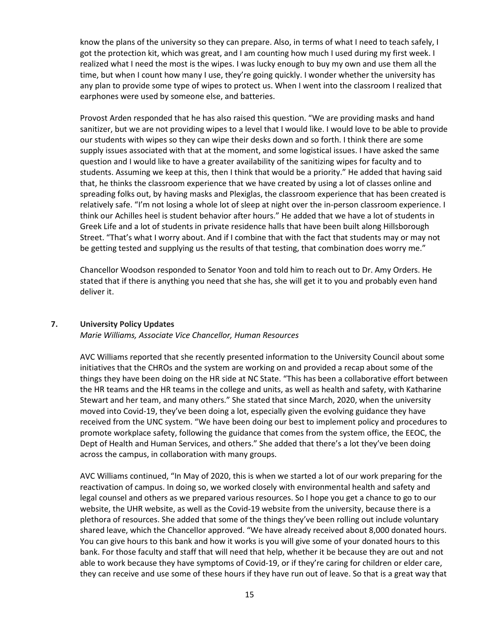know the plans of the university so they can prepare. Also, in terms of what I need to teach safely, I got the protection kit, which was great, and I am counting how much I used during my first week. I realized what I need the most is the wipes. I was lucky enough to buy my own and use them all the time, but when I count how many I use, they're going quickly. I wonder whether the university has any plan to provide some type of wipes to protect us. When I went into the classroom I realized that earphones were used by someone else, and batteries.

Provost Arden responded that he has also raised this question. "We are providing masks and hand sanitizer, but we are not providing wipes to a level that I would like. I would love to be able to provide our students with wipes so they can wipe their desks down and so forth. I think there are some supply issues associated with that at the moment, and some logistical issues. I have asked the same question and I would like to have a greater availability of the sanitizing wipes for faculty and to students. Assuming we keep at this, then I think that would be a priority." He added that having said that, he thinks the classroom experience that we have created by using a lot of classes online and spreading folks out, by having masks and Plexiglas, the classroom experience that has been created is relatively safe. "I'm not losing a whole lot of sleep at night over the in-person classroom experience. I think our Achilles heel is student behavior after hours." He added that we have a lot of students in Greek Life and a lot of students in private residence halls that have been built along Hillsborough Street. "That's what I worry about. And if I combine that with the fact that students may or may not be getting tested and supplying us the results of that testing, that combination does worry me."

Chancellor Woodson responded to Senator Yoon and told him to reach out to Dr. Amy Orders. He stated that if there is anything you need that she has, she will get it to you and probably even hand deliver it.

#### **7. University Policy Updates**

#### *Marie Williams, Associate Vice Chancellor, Human Resources*

AVC Williams reported that she recently presented information to the University Council about some initiatives that the CHROs and the system are working on and provided a recap about some of the things they have been doing on the HR side at NC State. "This has been a collaborative effort between the HR teams and the HR teams in the college and units, as well as health and safety, with Katharine Stewart and her team, and many others." She stated that since March, 2020, when the university moved into Covid-19, they've been doing a lot, especially given the evolving guidance they have received from the UNC system. "We have been doing our best to implement policy and procedures to promote workplace safety, following the guidance that comes from the system office, the EEOC, the Dept of Health and Human Services, and others." She added that there's a lot they've been doing across the campus, in collaboration with many groups.

AVC Williams continued, "In May of 2020, this is when we started a lot of our work preparing for the reactivation of campus. In doing so, we worked closely with environmental health and safety and legal counsel and others as we prepared various resources. So I hope you get a chance to go to our website, the UHR website, as well as the Covid-19 website from the university, because there is a plethora of resources. She added that some of the things they've been rolling out include voluntary shared leave, which the Chancellor approved. "We have already received about 8,000 donated hours. You can give hours to this bank and how it works is you will give some of your donated hours to this bank. For those faculty and staff that will need that help, whether it be because they are out and not able to work because they have symptoms of Covid-19, or if they're caring for children or elder care, they can receive and use some of these hours if they have run out of leave. So that is a great way that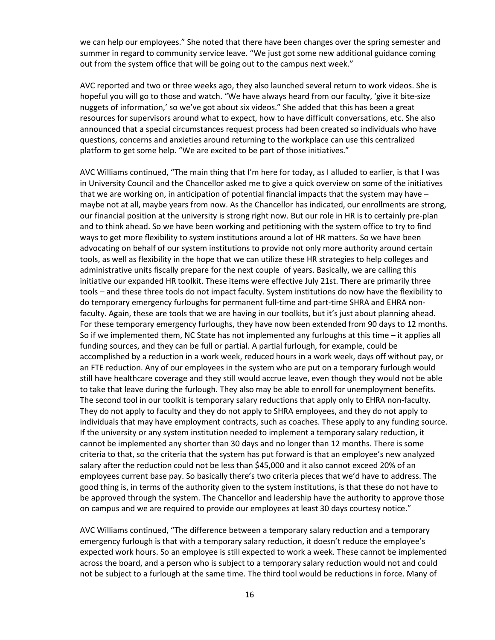we can help our employees." She noted that there have been changes over the spring semester and summer in regard to community service leave. "We just got some new additional guidance coming out from the system office that will be going out to the campus next week."

AVC reported and two or three weeks ago, they also launched several return to work videos. She is hopeful you will go to those and watch. "We have always heard from our faculty, 'give it bite-size nuggets of information,' so we've got about six videos." She added that this has been a great resources for supervisors around what to expect, how to have difficult conversations, etc. She also announced that a special circumstances request process had been created so individuals who have questions, concerns and anxieties around returning to the workplace can use this centralized platform to get some help. "We are excited to be part of those initiatives."

AVC Williams continued, "The main thing that I'm here for today, as I alluded to earlier, is that I was in University Council and the Chancellor asked me to give a quick overview on some of the initiatives that we are working on, in anticipation of potential financial impacts that the system may have – maybe not at all, maybe years from now. As the Chancellor has indicated, our enrollments are strong, our financial position at the university is strong right now. But our role in HR is to certainly pre-plan and to think ahead. So we have been working and petitioning with the system office to try to find ways to get more flexibility to system institutions around a lot of HR matters. So we have been advocating on behalf of our system institutions to provide not only more authority around certain tools, as well as flexibility in the hope that we can utilize these HR strategies to help colleges and administrative units fiscally prepare for the next couple of years. Basically, we are calling this initiative our expanded HR toolkit. These items were effective July 21st. There are primarily three tools – and these three tools do not impact faculty. System institutions do now have the flexibility to do temporary emergency furloughs for permanent full-time and part-time SHRA and EHRA nonfaculty. Again, these are tools that we are having in our toolkits, but it's just about planning ahead. For these temporary emergency furloughs, they have now been extended from 90 days to 12 months. So if we implemented them, NC State has not implemented any furloughs at this time – it applies all funding sources, and they can be full or partial. A partial furlough, for example, could be accomplished by a reduction in a work week, reduced hours in a work week, days off without pay, or an FTE reduction. Any of our employees in the system who are put on a temporary furlough would still have healthcare coverage and they still would accrue leave, even though they would not be able to take that leave during the furlough. They also may be able to enroll for unemployment benefits. The second tool in our toolkit is temporary salary reductions that apply only to EHRA non-faculty. They do not apply to faculty and they do not apply to SHRA employees, and they do not apply to individuals that may have employment contracts, such as coaches. These apply to any funding source. If the university or any system institution needed to implement a temporary salary reduction, it cannot be implemented any shorter than 30 days and no longer than 12 months. There is some criteria to that, so the criteria that the system has put forward is that an employee's new analyzed salary after the reduction could not be less than \$45,000 and it also cannot exceed 20% of an employees current base pay. So basically there's two criteria pieces that we'd have to address. The good thing is, in terms of the authority given to the system institutions, is that these do not have to be approved through the system. The Chancellor and leadership have the authority to approve those on campus and we are required to provide our employees at least 30 days courtesy notice."

AVC Williams continued, "The difference between a temporary salary reduction and a temporary emergency furlough is that with a temporary salary reduction, it doesn't reduce the employee's expected work hours. So an employee is still expected to work a week. These cannot be implemented across the board, and a person who is subject to a temporary salary reduction would not and could not be subject to a furlough at the same time. The third tool would be reductions in force. Many of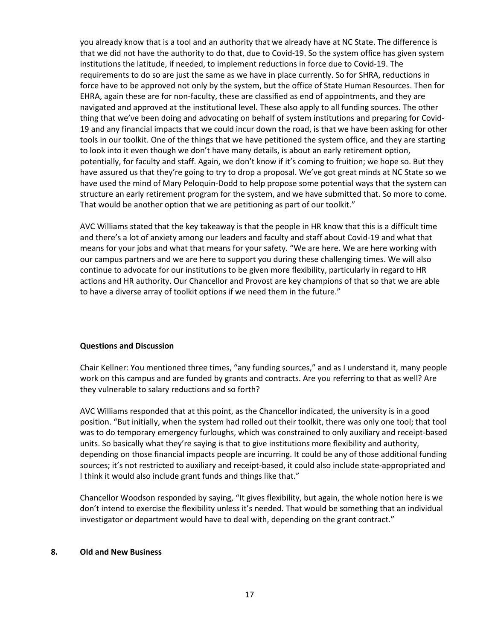you already know that is a tool and an authority that we already have at NC State. The difference is that we did not have the authority to do that, due to Covid-19. So the system office has given system institutions the latitude, if needed, to implement reductions in force due to Covid-19. The requirements to do so are just the same as we have in place currently. So for SHRA, reductions in force have to be approved not only by the system, but the office of State Human Resources. Then for EHRA, again these are for non-faculty, these are classified as end of appointments, and they are navigated and approved at the institutional level. These also apply to all funding sources. The other thing that we've been doing and advocating on behalf of system institutions and preparing for Covid-19 and any financial impacts that we could incur down the road, is that we have been asking for other tools in our toolkit. One of the things that we have petitioned the system office, and they are starting to look into it even though we don't have many details, is about an early retirement option, potentially, for faculty and staff. Again, we don't know if it's coming to fruition; we hope so. But they have assured us that they're going to try to drop a proposal. We've got great minds at NC State so we have used the mind of Mary Peloquin-Dodd to help propose some potential ways that the system can structure an early retirement program for the system, and we have submitted that. So more to come. That would be another option that we are petitioning as part of our toolkit."

AVC Williams stated that the key takeaway is that the people in HR know that this is a difficult time and there's a lot of anxiety among our leaders and faculty and staff about Covid-19 and what that means for your jobs and what that means for your safety. "We are here. We are here working with our campus partners and we are here to support you during these challenging times. We will also continue to advocate for our institutions to be given more flexibility, particularly in regard to HR actions and HR authority. Our Chancellor and Provost are key champions of that so that we are able to have a diverse array of toolkit options if we need them in the future."

#### **Questions and Discussion**

Chair Kellner: You mentioned three times, "any funding sources," and as I understand it, many people work on this campus and are funded by grants and contracts. Are you referring to that as well? Are they vulnerable to salary reductions and so forth?

AVC Williams responded that at this point, as the Chancellor indicated, the university is in a good position. "But initially, when the system had rolled out their toolkit, there was only one tool; that tool was to do temporary emergency furloughs, which was constrained to only auxiliary and receipt-based units. So basically what they're saying is that to give institutions more flexibility and authority, depending on those financial impacts people are incurring. It could be any of those additional funding sources; it's not restricted to auxiliary and receipt-based, it could also include state-appropriated and I think it would also include grant funds and things like that."

Chancellor Woodson responded by saying, "It gives flexibility, but again, the whole notion here is we don't intend to exercise the flexibility unless it's needed. That would be something that an individual investigator or department would have to deal with, depending on the grant contract."

#### **8. Old and New Business**